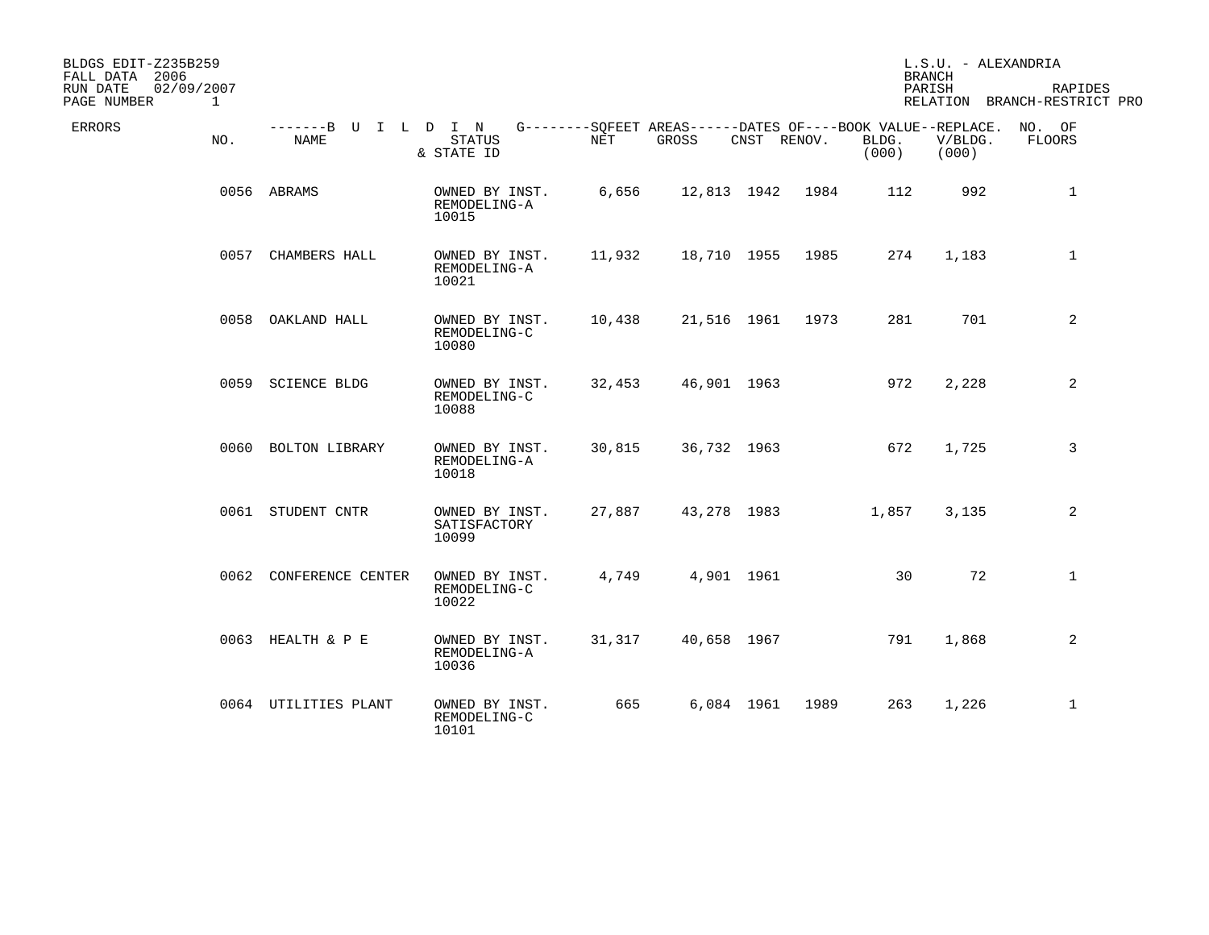| BLDGS EDIT-Z235B259<br>FALL DATA 2006 |              |                              |                                         |        |                                                                   |             |                  |                | L.S.U. - ALEXANDRIA<br><b>BRANCH</b> |                                         |
|---------------------------------------|--------------|------------------------------|-----------------------------------------|--------|-------------------------------------------------------------------|-------------|------------------|----------------|--------------------------------------|-----------------------------------------|
| RUN DATE<br>02/09/2007<br>PAGE NUMBER | $\mathbf{1}$ |                              |                                         |        |                                                                   |             |                  |                | PARISH                               | RAPIDES<br>RELATION BRANCH-RESTRICT PRO |
| ERRORS                                | NO.          | -------B U I L D I N<br>NAME | <b>STATUS</b><br>& STATE ID             | NET    | $G------SQFEET AREAS----DATES OF---BOOK VALUE--REPLACE.$<br>GROSS | CNST RENOV. |                  | BLDG.<br>(000) | V/BLDG.<br>(000)                     | NO. OF<br>FLOORS                        |
|                                       |              | 0056 ABRAMS                  | OWNED BY INST.<br>REMODELING-A<br>10015 | 6,656  |                                                                   |             | 12,813 1942 1984 | 112            | 992                                  | $\mathbf 1$                             |
|                                       |              | 0057 CHAMBERS HALL           | OWNED BY INST.<br>REMODELING-A<br>10021 | 11,932 | 18,710 1955                                                       |             | 1985             | 274            | 1,183                                | $\mathbf{1}$                            |
|                                       |              | 0058 OAKLAND HALL            | OWNED BY INST.<br>REMODELING-C<br>10080 | 10,438 |                                                                   | 21,516 1961 | 1973             | 281            | 701                                  | $\overline{2}$                          |
|                                       |              | 0059 SCIENCE BLDG            | OWNED BY INST.<br>REMODELING-C<br>10088 | 32,453 |                                                                   | 46,901 1963 |                  | 972            | 2,228                                | 2                                       |
|                                       |              | 0060 BOLTON LIBRARY          | OWNED BY INST.<br>REMODELING-A<br>10018 | 30,815 |                                                                   | 36,732 1963 |                  | 672            | 1,725                                | 3                                       |
|                                       |              | 0061 STUDENT CNTR            | OWNED BY INST.<br>SATISFACTORY<br>10099 | 27,887 |                                                                   | 43,278 1983 |                  | 1,857          | 3,135                                | 2                                       |
|                                       |              | 0062 CONFERENCE CENTER       | OWNED BY INST.<br>REMODELING-C<br>10022 | 4,749  |                                                                   | 4,901 1961  |                  | 30             | 72                                   | $\mathbf{1}$                            |
|                                       |              | 0063 HEALTH & P E            | OWNED BY INST.<br>REMODELING-A<br>10036 | 31,317 |                                                                   | 40,658 1967 |                  | 791            | 1,868                                | 2                                       |
|                                       |              | 0064 UTILITIES PLANT         | OWNED BY INST.<br>REMODELING-C<br>10101 | 665    |                                                                   | 6,084 1961  | 1989             | 263            | 1,226                                | $\mathbf{1}$                            |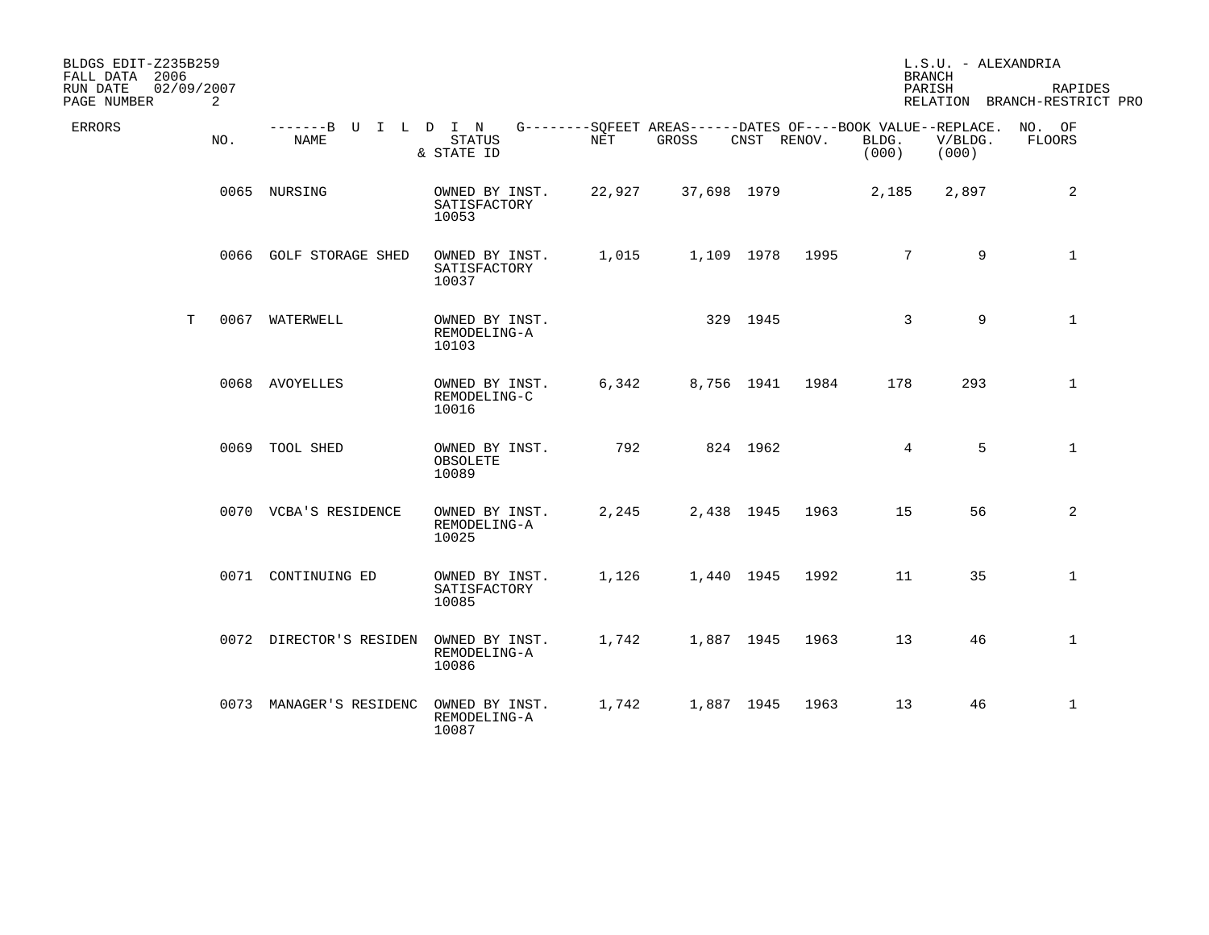| BLDGS EDIT-Z235B259<br>FALL DATA 2006 |     |                                     |                                         |            |                                                                             |             |      |                 | L.S.U. - ALEXANDRIA<br><b>BRANCH</b> |                                         |
|---------------------------------------|-----|-------------------------------------|-----------------------------------------|------------|-----------------------------------------------------------------------------|-------------|------|-----------------|--------------------------------------|-----------------------------------------|
| 02/09/2007<br>RUN DATE<br>PAGE NUMBER | 2   |                                     |                                         |            |                                                                             |             |      |                 | PARISH                               | RAPIDES<br>RELATION BRANCH-RESTRICT PRO |
| ERRORS                                | NO. | -------B U I L D I N<br><b>NAME</b> | <b>STATUS</b><br>& STATE ID             | <b>NET</b> | G--------SQFEET AREAS------DATES OF----BOOK VALUE--REPLACE. NO. OF<br>GROSS | CNST RENOV. |      | BLDG.<br>(000)  | V/BLDG.<br>(000)                     | FLOORS                                  |
|                                       |     | 0065 NURSING                        | OWNED BY INST.<br>SATISFACTORY<br>10053 | 22,927     | 37,698 1979                                                                 |             |      | 2,185           | 2,897                                | 2                                       |
|                                       |     | 0066 GOLF STORAGE SHED              | OWNED BY INST.<br>SATISFACTORY<br>10037 | 1,015      |                                                                             | 1,109 1978  | 1995 | 7               | 9                                    | $\mathbf{1}$                            |
| T.                                    |     | 0067 WATERWELL                      | OWNED BY INST.<br>REMODELING-A<br>10103 |            |                                                                             | 329 1945    |      | $\mathbf{3}$    | 9                                    | $\mathbf{1}$                            |
|                                       |     | 0068 AVOYELLES                      | OWNED BY INST.<br>REMODELING-C<br>10016 | 6,342      |                                                                             | 8,756 1941  | 1984 | 178             | 293                                  | $\mathbf{1}$                            |
|                                       |     | 0069 TOOL SHED                      | OWNED BY INST.<br>OBSOLETE<br>10089     | 792        |                                                                             | 824 1962    |      | $4\overline{ }$ | 5                                    | $\mathbf{1}$                            |
|                                       |     | 0070 VCBA'S RESIDENCE               | OWNED BY INST.<br>REMODELING-A<br>10025 | 2,245      |                                                                             | 2,438 1945  | 1963 | 15              | 56                                   | 2                                       |
|                                       |     | 0071 CONTINUING ED                  | OWNED BY INST.<br>SATISFACTORY<br>10085 | 1,126      |                                                                             | 1,440 1945  | 1992 | 11              | 35                                   | $\mathbf{1}$                            |
|                                       |     | 0072 DIRECTOR'S RESIDEN             | OWNED BY INST.<br>REMODELING-A<br>10086 | 1,742      |                                                                             | 1,887 1945  | 1963 | 13              | 46                                   | $\mathbf{1}$                            |
|                                       |     | 0073 MANAGER'S RESIDENC             | OWNED BY INST.<br>REMODELING-A<br>10087 | 1,742      |                                                                             | 1,887 1945  | 1963 | 13              | 46                                   | $\mathbf{1}$                            |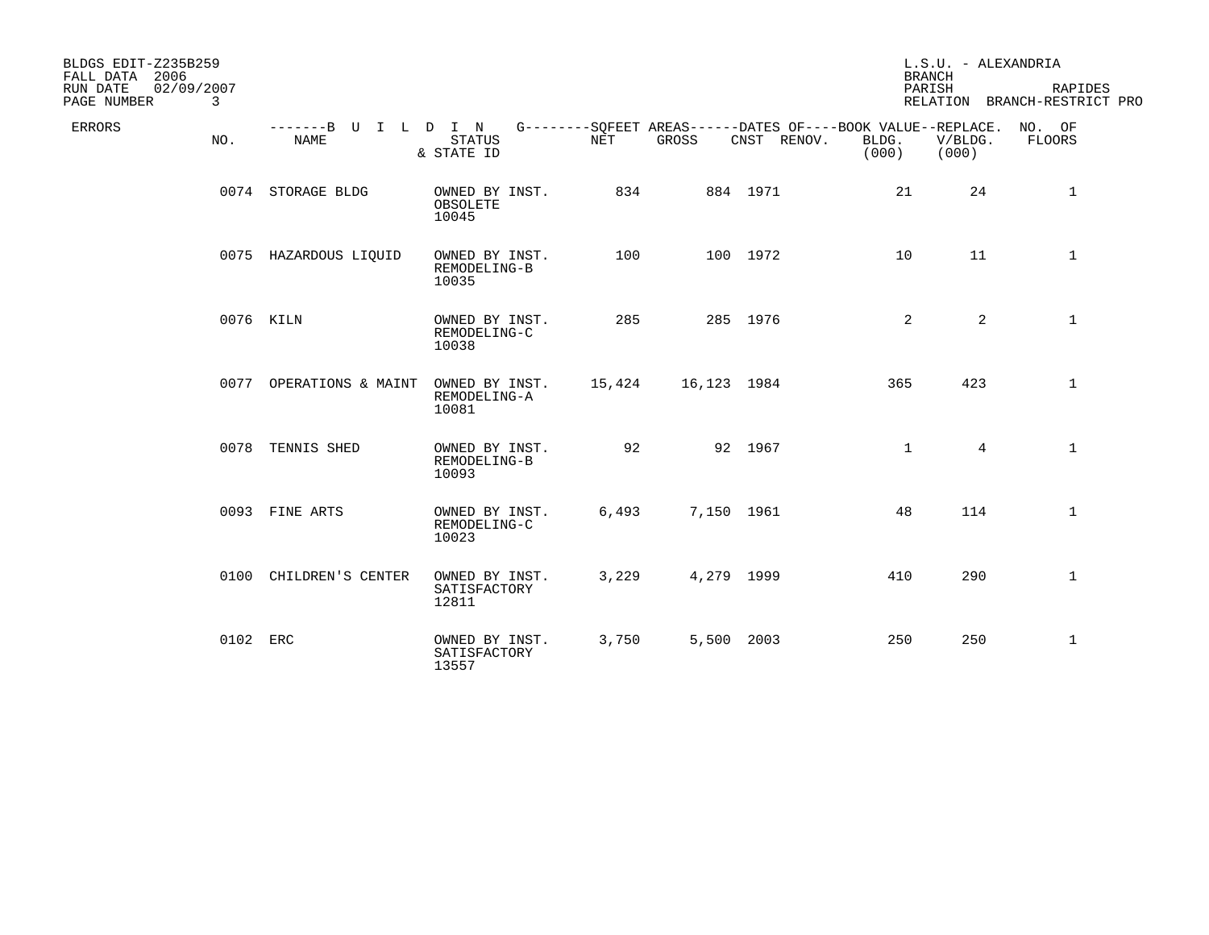| BLDGS EDIT-Z235B259<br>FALL DATA 2006<br>02/09/2007<br>RUN DATE<br>PAGE NUMBER<br>$\overline{3}$ |                                                                                                        |                                         |        |             |             | <b>BRANCH</b><br>PARISH | L.S.U. - ALEXANDRIA | RAPIDES<br>RELATION BRANCH-RESTRICT PRO |
|--------------------------------------------------------------------------------------------------|--------------------------------------------------------------------------------------------------------|-----------------------------------------|--------|-------------|-------------|-------------------------|---------------------|-----------------------------------------|
| ERRORS<br>NO.                                                                                    | -------B U I L D I N G--------SQFEET AREAS------DATES OF----BOOK VALUE--REPLACE. NO. OF<br><b>NAME</b> | <b>STATUS</b><br>& STATE ID             | NET    | GROSS       | CNST RENOV. | BLDG.<br>(000)          | V/BLDG.<br>(000)    | FLOORS                                  |
|                                                                                                  | 0074 STORAGE BLDG                                                                                      | OWNED BY INST.<br>OBSOLETE<br>10045     | 834    |             | 884 1971    | 21                      | 24                  | $\mathbf{1}$                            |
|                                                                                                  | 0075 HAZARDOUS LIQUID                                                                                  | OWNED BY INST.<br>REMODELING-B<br>10035 | 100    |             | 100 1972    | 10                      | 11                  | $\mathbf 1$                             |
|                                                                                                  | 0076 KILN                                                                                              | OWNED BY INST.<br>REMODELING-C<br>10038 | 285    |             | 285 1976    | 2                       | $\overline{a}$      | $\mathbf{1}$                            |
|                                                                                                  | 0077 OPERATIONS & MAINT                                                                                | OWNED BY INST.<br>REMODELING-A<br>10081 | 15,424 | 16,123 1984 |             | 365                     | 423                 | $\mathbf{1}$                            |
|                                                                                                  | 0078 TENNIS SHED                                                                                       | OWNED BY INST.<br>REMODELING-B<br>10093 | 92     |             | 92 1967     | $\mathbf{1}$            | $4^{\circ}$         | $\mathbf{1}$                            |
|                                                                                                  | 0093 FINE ARTS                                                                                         | OWNED BY INST.<br>REMODELING-C<br>10023 | 6,493  | 7,150 1961  |             | 48                      | 114                 | $\mathbf{1}$                            |
|                                                                                                  | 0100 CHILDREN'S CENTER                                                                                 | OWNED BY INST.<br>SATISFACTORY<br>12811 | 3,229  | 4,279 1999  |             | 410                     | 290                 | $\mathbf{1}$                            |
| 0102 ERC                                                                                         |                                                                                                        | OWNED BY INST.<br>SATISFACTORY<br>13557 | 3,750  | 5,500 2003  |             | 250                     | 250                 | $\mathbf 1$                             |